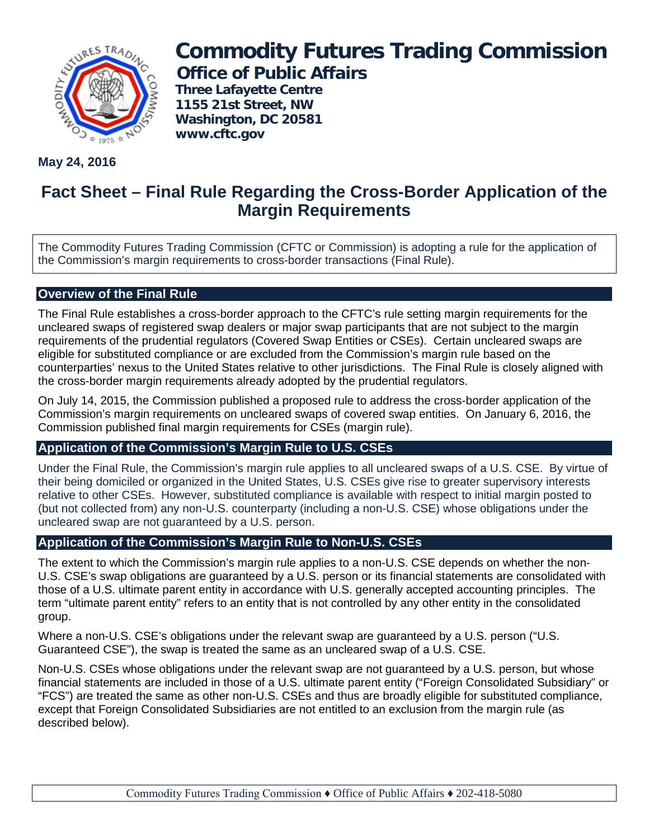

# **Commodity Futures Trading Commission Office of Public Affairs**

**Three Lafayette Centre 1155 21st Street, NW Washington, DC 20581 www.cftc.gov**

**May 24, 2016**

# **Fact Sheet – Final Rule Regarding the Cross-Border Application of the Margin Requirements**

The Commodity Futures Trading Commission (CFTC or Commission) is adopting a rule for the application of the Commission's margin requirements to cross-border transactions (Final Rule).

## **Overview of the Final Rule**

The Final Rule establishes a cross-border approach to the CFTC's rule setting margin requirements for the uncleared swaps of registered swap dealers or major swap participants that are not subject to the margin requirements of the prudential regulators (Covered Swap Entities or CSEs). Certain uncleared swaps are eligible for substituted compliance or are excluded from the Commission's margin rule based on the counterparties' nexus to the United States relative to other jurisdictions. The Final Rule is closely aligned with the cross-border margin requirements already adopted by the prudential regulators.

On July 14, 2015, the Commission published a proposed rule to address the cross-border application of the Commission's margin requirements on uncleared swaps of covered swap entities. On January 6, 2016, the Commission published final margin requirements for CSEs (margin rule).

#### **Application of the Commission's Margin Rule to U.S. CSEs**

Under the Final Rule, the Commission's margin rule applies to all uncleared swaps of a U.S. CSE. By virtue of their being domiciled or organized in the United States, U.S. CSEs give rise to greater supervisory interests relative to other CSEs. However, substituted compliance is available with respect to initial margin posted to (but not collected from) any non-U.S. counterparty (including a non-U.S. CSE) whose obligations under the uncleared swap are not guaranteed by a U.S. person.

#### **Application of the Commission's Margin Rule to Non-U.S. CSEs**

The extent to which the Commission's margin rule applies to a non-U.S. CSE depends on whether the non-U.S. CSE's swap obligations are guaranteed by a U.S. person or its financial statements are consolidated with those of a U.S. ultimate parent entity in accordance with U.S. generally accepted accounting principles. The term "ultimate parent entity" refers to an entity that is not controlled by any other entity in the consolidated group.

Where a non-U.S. CSE's obligations under the relevant swap are guaranteed by a U.S. person ("U.S. Guaranteed CSE"), the swap is treated the same as an uncleared swap of a U.S. CSE.

Non-U.S. CSEs whose obligations under the relevant swap are not guaranteed by a U.S. person, but whose financial statements are included in those of a U.S. ultimate parent entity ("Foreign Consolidated Subsidiary" or "FCS") are treated the same as other non-U.S. CSEs and thus are broadly eligible for substituted compliance, except that Foreign Consolidated Subsidiaries are not entitled to an exclusion from the margin rule (as described below).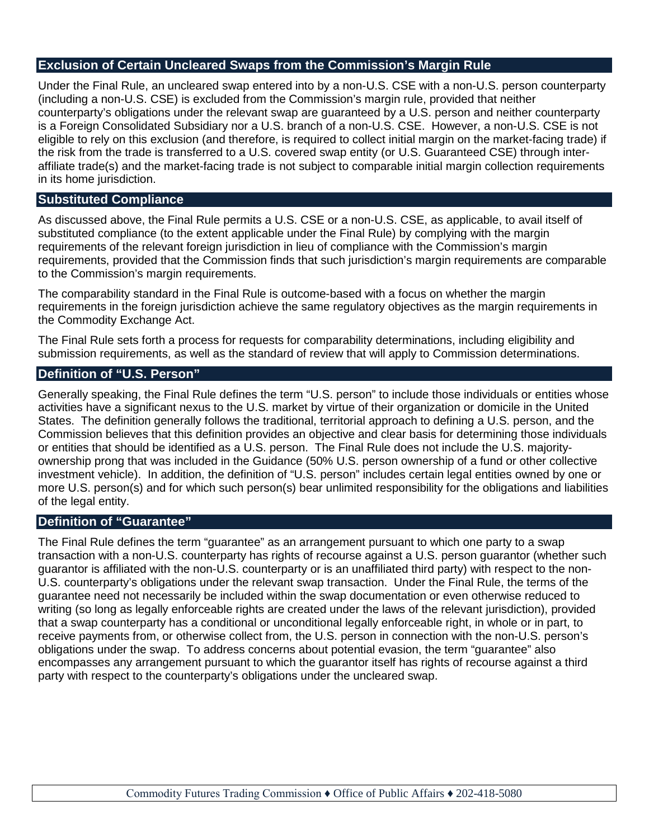### **Exclusion of Certain Uncleared Swaps from the Commission's Margin Rule**

Under the Final Rule, an uncleared swap entered into by a non-U.S. CSE with a non-U.S. person counterparty (including a non-U.S. CSE) is excluded from the Commission's margin rule, provided that neither counterparty's obligations under the relevant swap are guaranteed by a U.S. person and neither counterparty is a Foreign Consolidated Subsidiary nor a U.S. branch of a non-U.S. CSE. However, a non-U.S. CSE is not eligible to rely on this exclusion (and therefore, is required to collect initial margin on the market-facing trade) if the risk from the trade is transferred to a U.S. covered swap entity (or U.S. Guaranteed CSE) through interaffiliate trade(s) and the market-facing trade is not subject to comparable initial margin collection requirements in its home jurisdiction.

#### **Substituted Compliance**

As discussed above, the Final Rule permits a U.S. CSE or a non-U.S. CSE, as applicable, to avail itself of substituted compliance (to the extent applicable under the Final Rule) by complying with the margin requirements of the relevant foreign jurisdiction in lieu of compliance with the Commission's margin requirements, provided that the Commission finds that such jurisdiction's margin requirements are comparable to the Commission's margin requirements.

The comparability standard in the Final Rule is outcome-based with a focus on whether the margin requirements in the foreign jurisdiction achieve the same regulatory objectives as the margin requirements in the Commodity Exchange Act.

The Final Rule sets forth a process for requests for comparability determinations, including eligibility and submission requirements, as well as the standard of review that will apply to Commission determinations.

#### **Definition of "U.S. Person"**

Generally speaking, the Final Rule defines the term "U.S. person" to include those individuals or entities whose activities have a significant nexus to the U.S. market by virtue of their organization or domicile in the United States. The definition generally follows the traditional, territorial approach to defining a U.S. person, and the Commission believes that this definition provides an objective and clear basis for determining those individuals or entities that should be identified as a U.S. person. The Final Rule does not include the U.S. majorityownership prong that was included in the Guidance (50% U.S. person ownership of a fund or other collective investment vehicle). In addition, the definition of "U.S. person" includes certain legal entities owned by one or more U.S. person(s) and for which such person(s) bear unlimited responsibility for the obligations and liabilities of the legal entity.

#### **Definition of "Guarantee"**

The Final Rule defines the term "guarantee" as an arrangement pursuant to which one party to a swap transaction with a non-U.S. counterparty has rights of recourse against a U.S. person guarantor (whether such guarantor is affiliated with the non-U.S. counterparty or is an unaffiliated third party) with respect to the non-U.S. counterparty's obligations under the relevant swap transaction. Under the Final Rule, the terms of the guarantee need not necessarily be included within the swap documentation or even otherwise reduced to writing (so long as legally enforceable rights are created under the laws of the relevant jurisdiction), provided that a swap counterparty has a conditional or unconditional legally enforceable right, in whole or in part, to receive payments from, or otherwise collect from, the U.S. person in connection with the non-U.S. person's obligations under the swap. To address concerns about potential evasion, the term "guarantee" also encompasses any arrangement pursuant to which the guarantor itself has rights of recourse against a third party with respect to the counterparty's obligations under the uncleared swap.